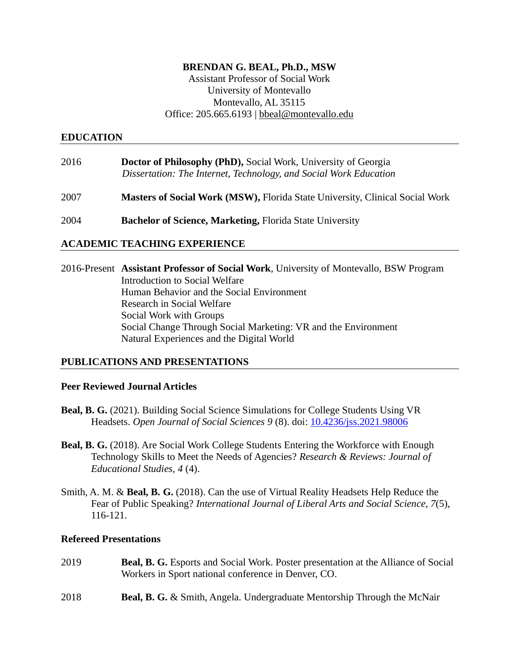### **BRENDAN G. BEAL, Ph.D., MSW**

Assistant Professor of Social Work University of Montevallo Montevallo, AL 35115 Office: 205.665.6193 | [bbeal@montevallo.edu](mailto:bbeal@montevallo.edu)

### **EDUCATION**

| 2016 | Doctor of Philosophy (PhD), Social Work, University of Georgia    |
|------|-------------------------------------------------------------------|
|      | Dissertation: The Internet, Technology, and Social Work Education |

2007 **Masters of Social Work (MSW),** Florida State University, Clinical Social Work

2004 **Bachelor of Science, Marketing,** Florida State University

### **ACADEMIC TEACHING EXPERIENCE**

2016-Present **Assistant Professor of Social Work**, University of Montevallo, BSW Program Introduction to Social Welfare Human Behavior and the Social Environment Research in Social Welfare Social Work with Groups Social Change Through Social Marketing: VR and the Environment Natural Experiences and the Digital World

### **PUBLICATIONS AND PRESENTATIONS**

### **Peer Reviewed Journal Articles**

- **Beal, B. G.** (2021). Building Social Science Simulations for College Students Using VR Headsets. *Open Journal of Social Sciences 9* (8). doi: [10.4236/jss.2021.98006](https://doi.org/10.4236/jss.2021.98006)
- **Beal, B. G.** (2018). Are Social Work College Students Entering the Workforce with Enough Technology Skills to Meet the Needs of Agencies? *Research & Reviews: Journal of Educational Studies, 4* (4).
- Smith, A. M. & **Beal, B. G.** (2018). Can the use of Virtual Reality Headsets Help Reduce the Fear of Public Speaking? *International Journal of Liberal Arts and Social Science, 7*(5), 116-121.

### **Refereed Presentations**

- 2019 **Beal, B. G.** Esports and Social Work. Poster presentation at the Alliance of Social Workers in Sport national conference in Denver, CO.
- 2018 **Beal, B. G.** & Smith, Angela. Undergraduate Mentorship Through the McNair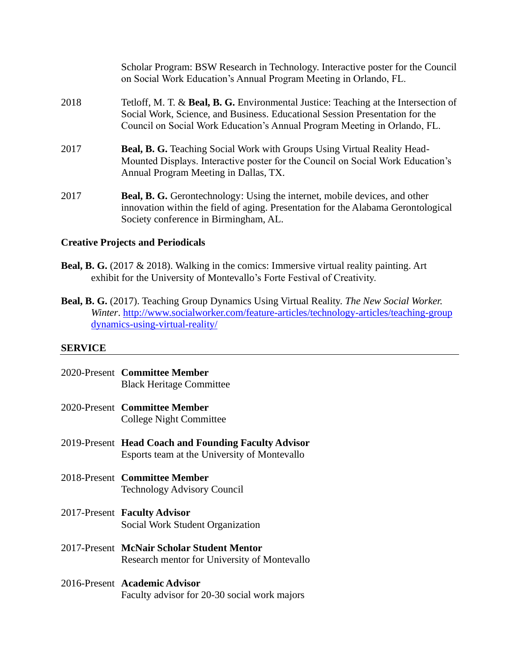|      | Scholar Program: BSW Research in Technology. Interactive poster for the Council<br>on Social Work Education's Annual Program Meeting in Orlando, FL.                                                                                             |
|------|--------------------------------------------------------------------------------------------------------------------------------------------------------------------------------------------------------------------------------------------------|
| 2018 | Tetloff, M. T. & Beal, B. G. Environmental Justice: Teaching at the Intersection of<br>Social Work, Science, and Business. Educational Session Presentation for the<br>Council on Social Work Education's Annual Program Meeting in Orlando, FL. |
| 2017 | <b>Beal, B. G.</b> Teaching Social Work with Groups Using Virtual Reality Head-<br>Mounted Displays. Interactive poster for the Council on Social Work Education's<br>Annual Program Meeting in Dallas, TX.                                      |
| 2017 | <b>Beal, B. G.</b> Gerontechnology: Using the internet, mobile devices, and other<br>innovation within the field of aging. Presentation for the Alabama Gerontological<br>Society conference in Birmingham, AL.                                  |

## **Creative Projects and Periodicals**

- **Beal, B. G.** (2017 & 2018). Walking in the comics: Immersive virtual reality painting. Art exhibit for the University of Montevallo's Forte Festival of Creativity.
- **Beal, B. G.** (2017). Teaching Group Dynamics Using Virtual Reality. *The New Social Worker. Winter*. [http://www.socialworker.com/feature-articles/technology-articles/teaching-group](http://www.socialworker.com/feature-articles/technology-articles/teaching-group%20dynamics-using-virtual-reality/)  [dynamics-using-virtual-reality/](http://www.socialworker.com/feature-articles/technology-articles/teaching-group%20dynamics-using-virtual-reality/)

## **SERVICE**

| 2020-Present Committee Member<br><b>Black Heritage Committee</b>                                     |
|------------------------------------------------------------------------------------------------------|
| 2020-Present Committee Member<br>College Night Committee                                             |
| 2019-Present Head Coach and Founding Faculty Advisor<br>Esports team at the University of Montevallo |
| 2018-Present Committee Member<br><b>Technology Advisory Council</b>                                  |
| 2017-Present Faculty Advisor<br>Social Work Student Organization                                     |
| 2017-Present McNair Scholar Student Mentor<br>Research mentor for University of Montevallo           |
| 2016-Present Academic Advisor<br>Faculty advisor for 20-30 social work majors                        |